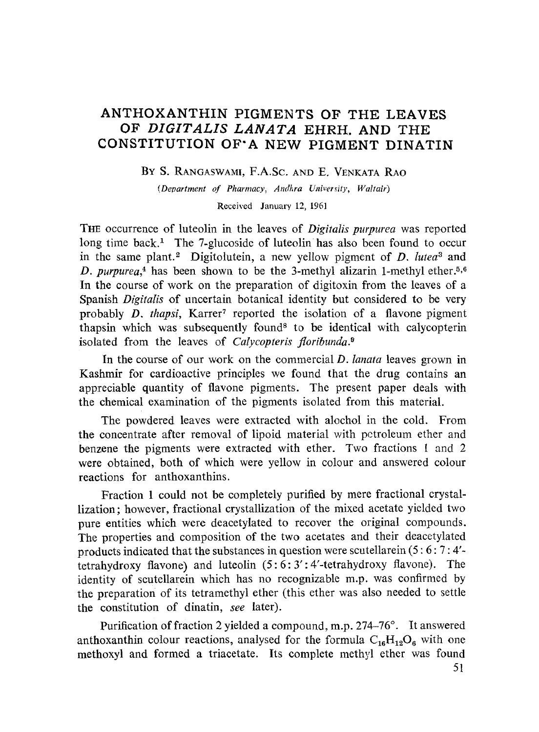# **ANTHOXANTHIN PIGMENTS OF THE LEAVES OF** *DIGITALIS LANATA* **EHRH. AND THE CONSTITUTION OF'A NEW PIGMENT DINATIN**

### BY S. RANGASWAMI, F.A.SC. AND E. VENKATA RAO

*(Department of Pharmacy, Andkra University, Waltair)* 

Received January 12, 1961

**THE** occurrence of luteolin in the leaves of *Digitalis purpurea* was reported long time back.<sup>1</sup> The 7-glucoside of luteolin has also been found to occur in the same plant.<sup>2</sup> Digitolutein, a new yellow pigment of *D. lutea*<sup>3</sup> and *D. purpurea*,<sup>4</sup> has been shown to be the 3-methyl alizarin 1-methyl ether.<sup>5,6</sup> In the course of work on the preparation of digitoxin from the leaves of a Spanish *Digitalis* of uncertain botanical identity but considered to be very probably *D. thapsi*, Karrer<sup>7</sup> reported the isolation of a flavone pigment thapsin which was subsequently found<sup>8</sup> to be identical with calycopterin isolated from the leaves of *Calycopteris floribunda. 9* 

In the course of our work on the commercial *D. lanata* leaves grown in Kashmir for cardioactive principles we found that the drug contains an appreciable quantity of flavone pigments. The present paper deals with the chemical examination of the pigments isolated from this material.

The powdered leaves were extracted with alochol in the cold. From the concentrate after removal of lipoid material with petroleum ether and benzene the pigments were extracted with ether. Two ffactions I and 2 were obtained, both of which were yellow in colour and answered colour reactions for anthoxanthins.

Fraction 1 could not be completely purified by mere fractional crystallization; however, fractional crystallization of the mixed acetate yielded two pure entities which were deacetylated to recover the original compounds. The properties and composition of the two acetates and their deacetylated products indicated that the substances in question were scutellarein (5 : 6 : 7 : 4' tetrahydroxy flavone) and luteolin (5:6: 3':4'-tetrahydroxy flavone). The identity of scutellarein which has no recognizable m.p. was confirmed by the preparation of its tetramethyl ether (this ether was also needed to settle the constitution of dinatin, *see* later).

Purification of fraction 2 yielded a compound, m.p.  $274-76^\circ$ . It answered anthoxanthin colour reactions, analysed for the formula  $C_{16}H_{12}O_6$  with one methoxyl and formed a triacetate. Its complete methyl ether was found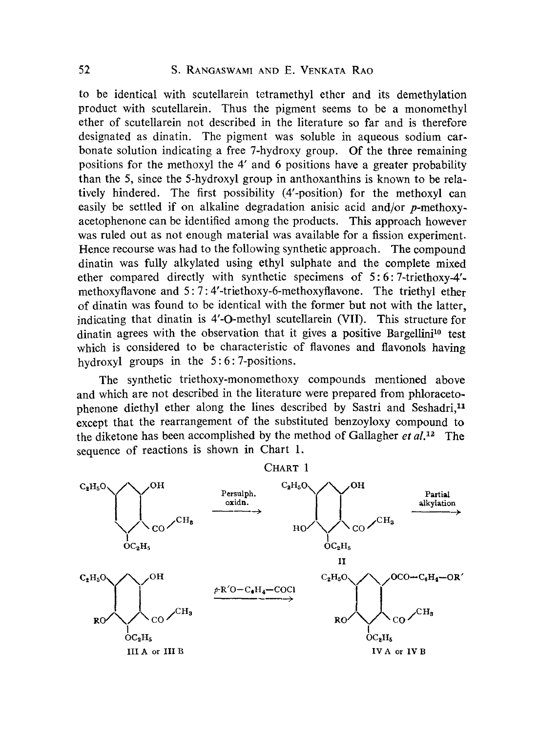to be identical with scutellarein tetramethyl ether and its demethylation product with scutellarein. Thus the pigment seems to be a monomethyl ether of scutellarein not described in the literature so far and is therefore designated as dinatin. The pigment was soluble in aqueous sodium carbonate solution indicating a free 7-hydroxy group. Of the three remaining positions for the methoxyl the 4' and 6 positions have a greater probability than the 5, since the 5-hydroxyl group in anthoxanthins is known to be relatively hindered. The first possibility (4'-position) for the methoxyl can easily be settled if on alkaline degradation anisic acid and/or p-methoxyacetophenone can be identified among the products. This approach however was ruled out as not enough material was available for a fission experiment. Hence recourse was had to the following synthetie approach. The compound dinatin was fully alkylated using ethyl sulphate and the complete mixed ether compared directly with synthetic specimens of 5: 6: 7-triethoxy-4' methoxyflavone and 5 : 7 : 4'-triethoxy-6-methoxyflavone. The triethyl ether of dinatin was found to be identical with the former but not with the latter, indicating that dinatin is 4'-O-methyl scutellarein (Vil). This structure for dinatin agrees with the observation that it gives a positive Bargellini<sup>10</sup> test which is considered to be characteristic of flavones and flavonols having hydroxyl groups in the 5:6:7-positions.

The synthetic triethoxy-monomethoxy compounds mentioned above and which are not described in the literature were prepared from phloracetophenone diethyl ether along the lines described by Sastri and Seshadri.<sup>11</sup> except that the rearrangement of the substituted benzoyloxy compound to the diketone has been accomplished by the method of Gallagher *et al.*<sup>12</sup> The sequence of reactions is shown in Chart 1.

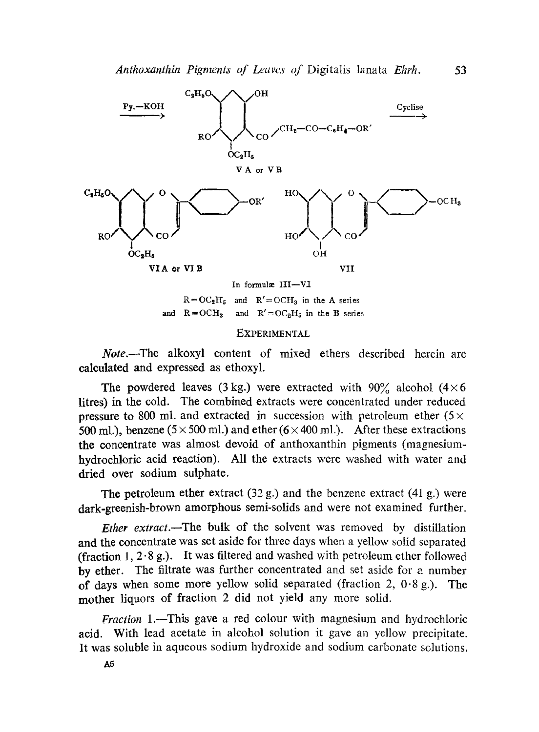Anthoxanthin Pigments of Leaves of Digitalis lanata *Ehrh*. 53



 $R = O C_2 H_5$  and  $R' = O CH_3$  in the A series and  $R = OCH_3$  and  $R' = OC_2H_5$  in the B series

#### EXPERIMENTAL

*Note*.--The alkoxyl content of mixed ethers described herein are calculated and expressed as ethoxyl.

The powdered leaves (3 kg.) were extracted with  $90\%$  alcohol (4 × 6) litres) in the cold. The combined extracts were concentrated under reduced pressure to 800 ml. and extracted in succession with petroleum ether  $(5 \times$ 500 ml.), benzene (5  $\times$  500 ml.) and ether (6  $\times$  400 ml.). After these extractions the concentrate was almost devoid of anthoxanthin pigments (magnesiumhydrochloric acid reaction). All the extracts were washed with water and dried over sodium sulphate.

The petroleum ether extract  $(32 g)$  and the benzene extract  $(41 g)$  were dark-greenish-brown amorphous semi-solids and were not examined further.

*Ether extract.*--The bulk of the solvent was removed by distillation and the concentrate was set aside for three days when a yellow solid separated (fraction 1,  $2.8$  g.). It was filtered and washed with petroleum ether followed by ether. The filtrate was further concentrated and set aside for a number of days when some more yellow solid separated (fraction 2,  $0.8 \text{ g}$ .). The mother liquors of fraction 2 did not yield any more solid.

*Fraction* 1.—This gave a red colour with magnesium and hydrochloric acid. With lead acetate in alcohol solution it gave ah yellow precipitate. It was soluble in aqueous sodium hydroxide and sodium carbonate solutions.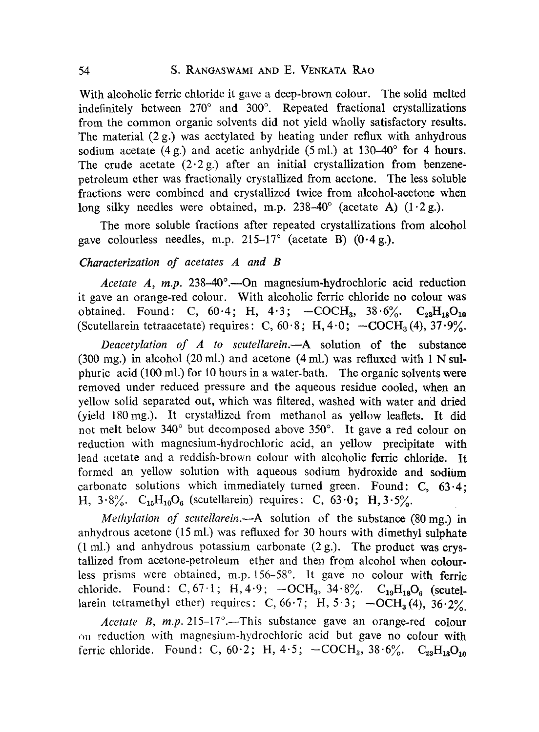With alcoholic ferric chloride it gave a deep-brown colour. The solid melted indefinitely between  $270^\circ$  and  $300^\circ$ . Repeated fractional crystallizations from the common organic solvents did not yield wholly satisfactory results. The material (2 g.) was acetylated by heating under reflux with anhydrous sodium acetate (4 g.) and acetic anhydride (5 ml.) at 130–40 $^{\circ}$  for 4 hours. The crude acetate  $(2.2 g)$  after an initial crystallization from benzenepetroleum ether was fractionally crystallized from acetone. The less soluble fractions were combined and crystallized twice from alcohol-acetone when long silky needles were obtained, m.p.  $238-40^{\circ}$  (acetate A)  $(1.2 \text{ g.})$ .

The more soluble fractions after repeated crystallizations from alcohol gave colourless needles, m.p.  $215-17^\circ$  (acetate B) (0.4 g.).

## *Characterization of acetates A and B*

*Acetate A, m.p.* 238-40°.—On magnesium-hydrochloric acid reduction it gave ah orange-red colour. With alcoholic ferric chloride no colour was obtained. Found: C,  $60.4$ ; H,  $4.3$ ;  $-COCH_3$ ,  $38.6\%$ . C<sub>23</sub>H<sub>18</sub>O<sub>10</sub> (Scutellarein tetraacetate) requires: C,  $60.8$ ; H,  $4.0$ ;  $-COCH<sub>3</sub>(4)$ ,  $37.9\%$ .

*Deacetylation of A to scutellarein.--A* solution of the substance (300 mg.) in alcohol (20 ml.) and acetone (4 ml.) was refluxed with  $1 N$  sulphuric acid (lOO mi.) for lO hours in a water-bath. The organic solvents were removed under reduced pressure and the aqueous residue cooled, when ah yellow solid separated out, which was filtered, washed with water and dried (yield 180 mg.). It crystallized from methanol as yellow leaflets. It did not melt below 340° but decomposed above 350°. It gave a red colour on reduction with magnesium-hydrochloric acid, an yellow precipitate with lead acetate and a reddish-brown colour with alcoholic ferric chloride. It formed ah yellow solution with aqueous sodium hydroxide and sodium carbonate solutions which immediately turned green. Found: C, 63.4; H,  $3.8\%$ . C<sub>15</sub>H<sub>10</sub>O<sub>6</sub> (scutellarein) requires: C,  $63.0$ ; H,  $3.5\%$ .

*Methylation of scutellarein.*—A solution of the substance (80 mg.) in anhydrous acetone  $(15 \text{ ml.})$  was refluxed for 30 hours with dimethyl sulphate (1 ml.) and anhydrous potassium carbonate  $(2 g.)$ . The product was crystallized from acetone-petroleum ether and then from alcohol when colourless prisms were obtained, m.p. 156-58°. It gave no colour with ferric chloride. Found: C, 67.1; H, 4.9;  $-OCH_3$ , 34.8%.  $C_{19}H_{18}O_6$  (scutellarein tetramethyl ether) requires: C, 66.7; H, 5.3;  $-OCH<sub>3</sub>(4)$ , 36.2%.

*Acetate B, m.p.*  $215-17^\circ$ . This substance gave an orange-red colour on reduction with magnesium-hydrochloric acid but gave no colour with ferric chloride. Found: C,  $60.2$ ; H,  $4.5$ ;  $-COCH_3$ ,  $38.6\frac{\textdegree}{\textdegree}$ . C<sub>23</sub>H<sub>18</sub>O<sub>10</sub>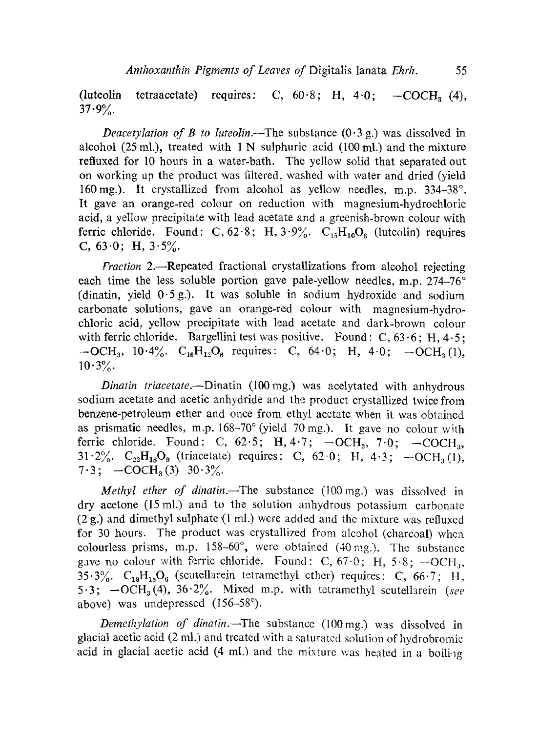(luteolin tetraacetate) requires: C,  $60.8$ ; H,  $4.0$ ;  $-COCH_2$  (4),  $37.9%$ 

*Deacetylation of B to luteolin.*—The substance  $(0.3 g)$  was dissolved in alcohol (25 ml.), treated with 1 N sulphuric acid (100 ml.) and the mixture refluxed for 10 hours in a water-bath. The yellow solid that separated out on working up the product was filtered, washed with water and dried (yield 160 mg.). It crystallized from alcohol as yellow needles, m.p.  $334-38^\circ$ . Ir gave an orange-red colour on reduction with magnesium-hydrochloric acid, a yellow precipitate with lead acetate anda greenish-brown colour with ferric chloride. Found: C,  $62.8$ ; H,  $3.9\%$ . C<sub>15</sub>H<sub>10</sub>O<sub>6</sub> (luteolin) requires C,  $63.0$ ; H,  $3.5\%$ .

*Fraction 2.*-Repeated fractional crystallizations from alcohol rejecting each time the less soluble portion gave pale-yellow needles, m.p.  $274-76^\circ$ (dinatin, yield  $0.5$  g.). It was soluble in sodium hydroxide and sodium carbonate solutions, gave an orange-red colour with magnesium-hydrochloric acid, yellow precipitate with lead acetate and dark-brown colour with ferric chloride. Bargellini test was positive. Found: C,  $63.6$ ; H,  $4.5$ ;  $-OCH_3$ , 10.4%.  $C_{16}H_{12}O_6$  requires: C, 64.0; H, 4.0;  $-OCH_3(1)$ ,  $10.3\%$ .

*Dinatin triacetate.--Dinatin* (100mg.) was acelytated with anhydrous sodium acetate and acetic anhydride and the product crystallized twice from benzene-petroleum ether and once from ethyl acetate when it was obtained as prismatic needles, m.p.  $168-70^{\circ}$  (yield 70 mg.). It gave no colour with ferric chloride. Found: C,  $62.5$ ; H,  $4.7$ ;  $-OCH<sub>3</sub>$ ,  $7.0$ ;  $-COCH<sub>3</sub>$ , 31.2%.  $C_{22}H_{18}O_9$  (triacetate) requires: C, 62.0; H, 4.3;  $-OCH_3(1)$ ,  $7.3$ ;  $-COCH<sub>3</sub>(3)$   $30.3%$ .

*Methyl ether of dinatin.*--The substance (100 mg.) was dissolved in dry acetone  $(15 \text{ ml.})$  and to the solution anhydrous potassium carbonate (2 g.) and dimethyl sulphate (1 mi.) were added and thc mixture was refluxcd for 30 hours. The product was crystallized from alcohol (charcoal) whea colourless prisms, m.p.  $158-60^{\circ}$ , were obtained (40 mg.). The substance gave no colour with ferric chloride. Found: C,  $67.0$ ; H,  $5.8$ ;  $-OCH<sub>3</sub>$ , 35.3%.  $C_{19}H_{18}O_6$  (scutellarein tetramethyl cther) requires: C, 66.7; H, 5.3;  $-OCH<sub>3</sub>(4)$ ,  $36.2\%$ . Mixed m.p. with tetramethyl scutellarein *(see* above) was undepressed (156–58°).

*Demethylation of dinatin.~The* substance (100mg.) was dissolved in glacial acetic acid  $(2 \text{ ml.})$  and treated with a saturated solution of hydrobromic acid in glacial acetic acid  $(4 \text{ ml.})$  and the mixture was heated in a boiling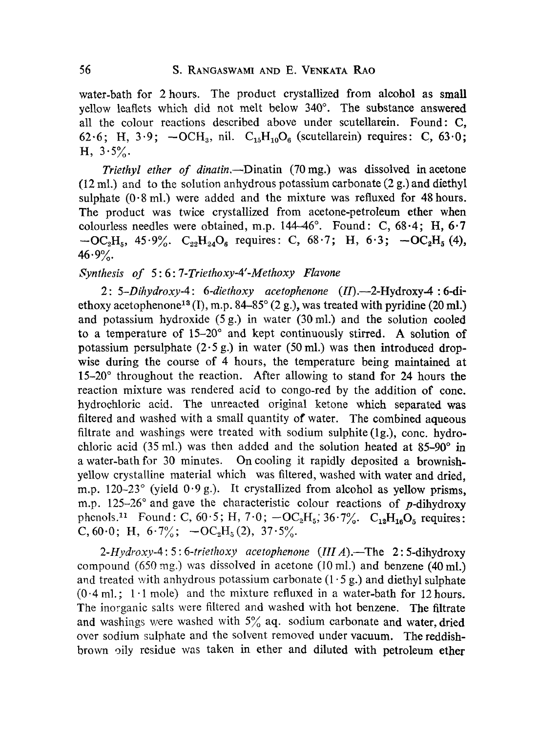water-bath for 2 hours. The product crystallized from alcohol as small yellow leaflets which did not melt below 340°. The substance answered all the colour reactions described above under scutellarein. Found: C, 62.6; H, 3.9;  $-OCH_3$ , nil.  $C_{15}H_{10}O_6$  (scutellarein) requires: C, 63.0;  $H, 3.5\%$ 

*Triethyl ether of dinatin.*—Dinatin (70 mg.) was dissolved in acetone  $(12 \text{ ml.})$  and to the solution anhydrous potassium carbonate  $(2 g.)$  and diethyl sulphate  $(0.8 \text{ ml.})$  were added and the mixture was refluxed for 48 hours. The product was twice crystallized from acetone-petroleum ether when colourless needles were obtained, m.p.  $144-46^{\circ}$ . Found: C,  $68.4$ ; H,  $6.7$  $-C_2H_5$ , 45.9%.  $C_{22}H_{24}O_6$  requires: C, 68.7; H, 6.3;  $-C_2H_5$  (4),  $46.9%$ .

## *Synthesis of 5:6:7-Triethoxy-4'-Methoxy Flavone*

*2 : 5-Dihydroxy-4 : 6-diethoxy acetophenone* (/D.--2-Hydroxy-4 : 6-diethoxy acetophenone<sup>13</sup> (I), m.p. 84-85 $^{\circ}$  (2 g.), was treated with pyridine (20 ml.) and potassium hydroxide  $(5 g.)$  in water  $(30 ml.)$  and the solution cooled to a temperature of  $15-20^\circ$  and kept continuously stirred. A solution of potassium persulphate  $(2.5 g.)$  in water  $(50 ml.)$  was then introduced dropwise during the course of 4 hours, the temperature being maintained at  $15-20^\circ$  throughout the reaction. After allowing to stand for 24 hours the reaction mixture was rendered acid to congo-red by the addition of cone. hydrochloric acid. The unreacted original ketone which separated was filtered and washed with a small quantity of water. The combined aqueous filtrate and washings were treated with sodium sulphite (1g.), conc. hydrochloric acid (35 ml.) was then added and the solution heated at  $85-90^\circ$  in a water-bath for 30 minutes. On cooling it rapidly deposited a brownishyellow crystalline material which was filtered, washed with water and dried. m.p. 120-23 $^{\circ}$  (yield 0.9 g.). It crystallized from alcohol as yellow prisms, m.p. 125-26 $^{\circ}$  and gave the characteristic colour reactions of p-dihydroxy phenols.<sup>11</sup> Found: C, 60.5; H, 7.0;  $-OC_2H_5$ , 36.7%.  $C_{12}H_{16}O_5$  requires: C, 60.0; H,  $6.7\frac{\%}{6}$ ;  $-OC_2H_5(2)$ ,  $37.5\frac{\%}{6}$ .

*2-Hydroxy-4 :* 5: *6-triethoxy acetophenone (llI A).--The* 2: 5-dihydroxy compound (650 mg.) was dissolved in acetone (10 mi.) and benzene (40 ml.) and treated with anhydrous potassium carbonate  $(1.5 g)$  and diethyl sulphate  $(0.4 \text{ ml.}; 1.1 \text{ mole})$  and the mixture refluxed in a water-bath for 12 hours. The inorganic salts were filtered and washed with hot benzene. The filtrate and washings were washed with  $5\%$  aq. sodium carbonate and water, dried over sodium sulphate and the solvent removed under vacuum. The reddishbrown oily residue was taken in ether and diluted with petroleum ether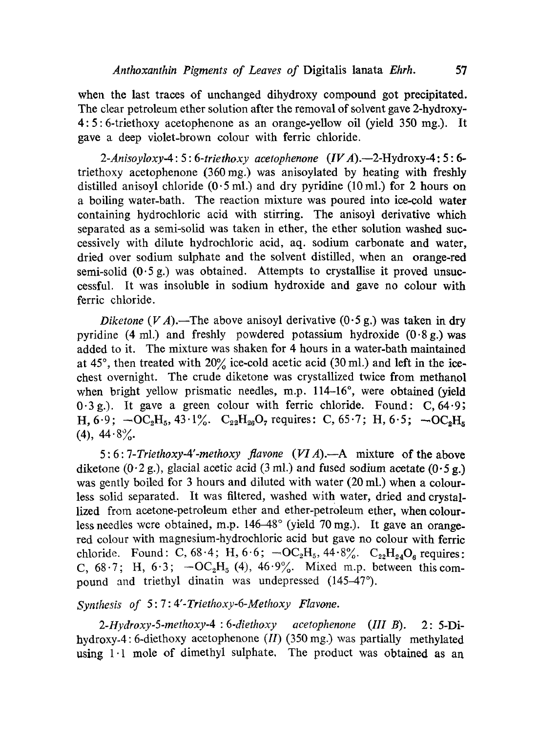when the last traces of unchanged dihydroxy compound got precipitated. The clear petroleum ether solution after the removal of solvent gave 2-hydroxy-4:5:6-triethoxy acetophenone as ah orange-yellow oil (yield 350 mg.). It gave a deep violet-brown colour with ferric chloride.

*2-Anisoyloxy-4 : 5 : 6-triethoxy acetophenone (IV A).--2-Hydroxy-4 :* 5: 6 triethoxy acetophenone (360mg.) was anisoylated by heating with freshly distilled anisoyl chloride  $(0.5 \text{ ml.})$  and dry pyridine  $(10 \text{ ml.})$  for 2 hours on a boiling water-bath. The reaction mixture was poured into ice-cold water containing hydrochloric acid with stirring. The anisoyl derivative which separated as a semi-solid was taken in ether, the ether solution washed successively with dilute hydrochloric acid, aq. sodium carbonate and water, dried over sodium sulphate and the solvent distilled, when an orange-red semi-solid  $(0.5 \text{ g})$  was obtained. Attempts to crystallise it proved unsuccessful. Ir was insoluble in sodium hydroxide and gave no colour with ferric chloride.

*Diketone* (VA).—The above anisoyl derivative (0.5 g.) was taken in dry pyridine (4 ml.) and freshly powdered potassium hydroxide  $(0.8g)$  was added to ir. The mixture was shaken for 4 hours in a water-bath maintained at 45°, then treated with  $20\%$  ice-cold acetic acid (30 ml.) and left in the icechest overnight. The crude diketone was crystallized twice from methanol when bright yellow prismatic needles, m.p.  $114-16^{\circ}$ , were obtained (yield  $0.3$  g.). It gave a green colour with ferric chloride. Found: C,  $64.9$ ; H, 6.9;  $-\text{OC}_2\text{H}_5$ , 43.1%.  $\text{C}_{22}\text{H}_{26}\text{O}_7$  requires: C, 65.7; H, 6.5;  $-\text{OC}_2\text{H}_8$ (4),  $44.8\%$ 

5: 6: *7-Triethoxy-4'-methoxy flavone (VIA).--A* mixture of the above diketone  $(0.2 g.)$ , glacial acetic acid  $(3 ml.)$  and fused sodium acetate  $(0.5 g.)$ was gently boiled for 3 hours and diluted with water (20 mi.) when a colourless solid separated. It was filtered, washed with water, dried and crystallized from acetone-petroleum ether and ether-petroleum ether, when colourless needles wcre obtained, m.p.  $146-48^\circ$  (yield 70 mg.). It gave an orangered colour with magnesium-hydrochloric acid but gave no colour with ferrie chloride. Found: C,  $68.4$ ; H,  $6.6$ ;  $-\text{OC}_2\text{H}_5$ ,  $44.8\%$ .  $\text{C}_{22}\text{H}_{24}\text{O}_6$  requires: C,  $68.7$ ; H,  $6.3$ ;  $-OC<sub>2</sub>H<sub>5</sub>$  (4),  $46.9%$ . Mixed m.p. between this compound and triethyl dinatin was undepressed (145–47°).

# *Synthesis of 5:7:4'-Triethoxy-6-Methoxy Flavone.*

*2-Hydroxy.5-methoxy-4 : 6-diethoxy acetophenone (III* B). 2 : 5-Dihydroxy-4: 6-diethoxy acetophenone *(II)* (350 mg.) was partially methylated using  $1 \cdot 1$  mole of dimethyl sulphate. The product was obtained as an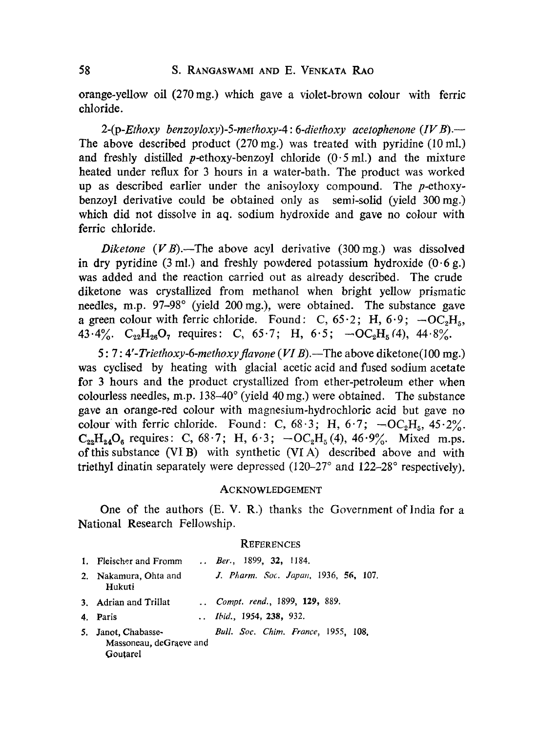orange-yellow oil (270mg.) which gave a violet-brown colour with ferric chloride.

*2-(p-Ethoxy benzoyloxy)-5-methoxy-4 : 6-diethoxy acetophenone (IV B).--*  The above described product  $(270 \text{ mg})$  was treated with pyridine  $(10 \text{ ml})$ . and freshly distilled p-ethoxy-benzoyl chloride  $(0.5 \text{ ml.})$  and the mixture heated under reflux for 3 hours in a water-bath. The product was worked up as described earlier under the anisoyloxy compound. The p-ethoxybenzoyl derivative could be obtained only as semi-solid (yield 300mg.) which did not dissolve in aq. sodium hydroxide and gave no colour with ferric chloride.

*Diketone*  $(VB)$ .—The above acyl derivative  $(300 \text{ mg})$  was dissolved in dry pyridine (3 ml.) and freshly powdered potassium hydroxide  $(0.6 g)$ . was added and the reaction carried out as already described. The crude diketone was crystallized from methanol when bright yellow prismatic needles, m.p.  $97-98^\circ$  (yield 200 mg.), were obtained. The substance gave a green colour with ferric chloride. Found: C,  $65.2$ ; H,  $6.9$ ;  $-OC<sub>2</sub>H<sub>5</sub>$ , 43.4%.  $C_{22}H_{26}O_7$  requires: C, 65.7; H, 6.5;  $-OC_2H_5(4)$ , 44.8%.

5 : 7: *4'-Triethoxy-6-methoxyflavone (VIB).--The* above diketone(100 mg.) was cyclised by heating with glacial acetic acid and fused sodium acetate for 3 hours and the product crystallized from ether-petroleum ether when colourless needles, m.p.  $138-40^{\circ}$  (yield 40 mg.) were obtained. The substance gave an orange-red colour with magnesium-hydrochloric acid but gave no colour with ferric chloride. Found: C,  $68.3$ ; H,  $6.7$ ;  $-OC<sub>2</sub>H<sub>5</sub>$ ,  $45.2\%$ .  $C_{22}H_{24}O_6$  requires: C, 68.7; H, 6.3;  $-OC_2H_5(4)$ , 46.9%. Mixed m.ps. of this substance (VI B) with synthetic (VI A) described above and with triethyl dinatin separately were depressed  $(120-27^\circ$  and  $122-28^\circ$  respectively).

### ACKNOWLEDGEMENT

One of the authors (E. V. R.) thanks the Government of India for a National Research Fellowship.

#### **REFERENCES**

| 1. Fleischer and Fromm                                     | Ber., 1899, 32, 1184.                |
|------------------------------------------------------------|--------------------------------------|
| 2. Nakamura, Ohta and<br>Hukuti                            | J. Pharm. Soc. Japan, 1936, 56, 107. |
| 3. Adrian and Trillat                                      | Compt. rend., 1899, 129, 889.        |
| 4. Paris                                                   | <i>Ibid.</i> , 1954, 238, 932.       |
| 5. Janot, Chabasse-<br>Massoneau, deGraeve and<br>Goutarel | Bull. Soc. Chim. France, 1955, 108.  |